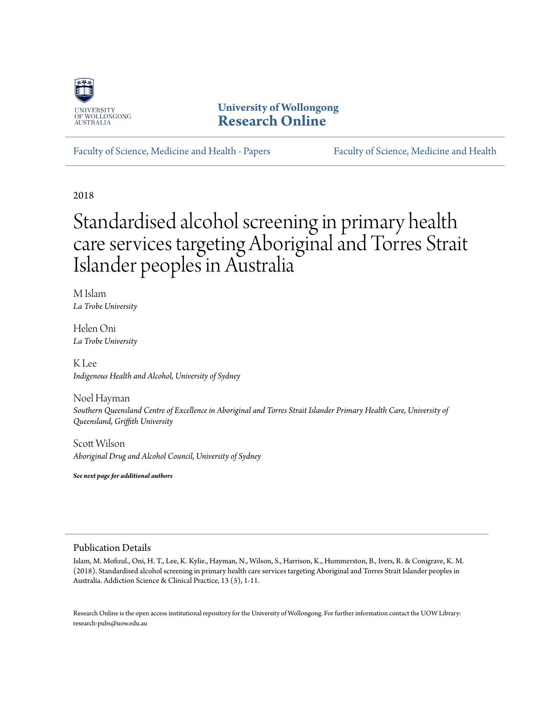

# **University of Wollongong [Research Online](http://ro.uow.edu.au)**

[Faculty of Science, Medicine and Health - Papers](http://ro.uow.edu.au/smhpapers) [Faculty of Science, Medicine and Health](http://ro.uow.edu.au/smh)

2018

# Standardised alcohol screening in primary health care services targeting Aboriginal and Torres Strait Islander peoples in Australia

M Islam *La Trobe University*

Helen Oni *La Trobe University*

K Lee *Indigenous Health and Alcohol, University of Sydney*

Noel Hayman *Southern Queensland Centre of Excellence in Aboriginal and Torres Strait Islander Primary Health Care, University of Queensland, Griffith University*

Scott Wilson *Aboriginal Drug and Alcohol Council, University of Sydney*

*See next page for additional authors*

# Publication Details

Islam, M. Mofizul., Oni, H. T., Lee, K. Kylie., Hayman, N., Wilson, S., Harrison, K., Hummerston, B., Ivers, R. & Conigrave, K. M. (2018). Standardised alcohol screening in primary health care services targeting Aboriginal and Torres Strait Islander peoples in Australia. Addiction Science & Clinical Practice, 13 (5), 1-11.

Research Online is the open access institutional repository for the University of Wollongong. For further information contact the UOW Library: research-pubs@uow.edu.au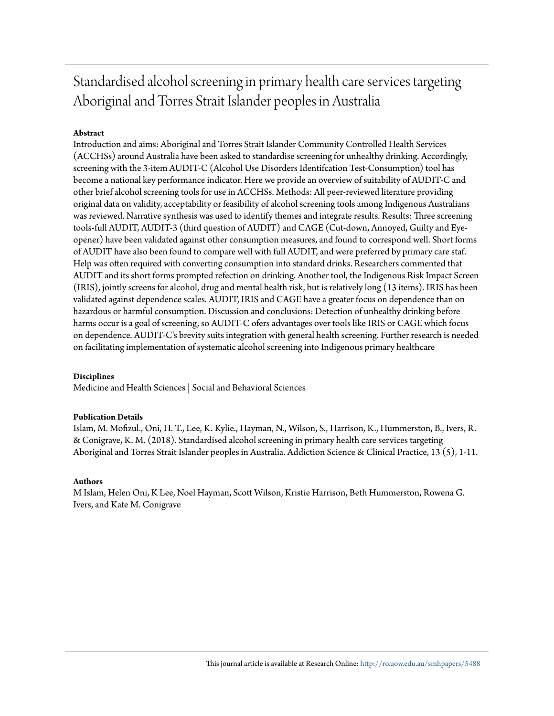# Standardised alcohol screening in primary health care services targeting Aboriginal and Torres Strait Islander peoples in Australia

# **Abstract**

Introduction and aims: Aboriginal and Torres Strait Islander Community Controlled Health Services (ACCHSs) around Australia have been asked to standardise screening for unhealthy drinking. Accordingly, screening with the 3-item AUDIT-C (Alcohol Use Disorders Identifcation Test-Consumption) tool has become a national key performance indicator. Here we provide an overview of suitability of AUDIT-C and other brief alcohol screening tools for use in ACCHSs. Methods: All peer-reviewed literature providing original data on validity, acceptability or feasibility of alcohol screening tools among Indigenous Australians was reviewed. Narrative synthesis was used to identify themes and integrate results. Results: Three screening tools-full AUDIT, AUDIT-3 (third question of AUDIT) and CAGE (Cut-down, Annoyed, Guilty and Eyeopener) have been validated against other consumption measures, and found to correspond well. Short forms of AUDIT have also been found to compare well with full AUDIT, and were preferred by primary care staf. Help was often required with converting consumption into standard drinks. Researchers commented that AUDIT and its short forms prompted refection on drinking. Another tool, the Indigenous Risk Impact Screen (IRIS), jointly screens for alcohol, drug and mental health risk, but is relatively long (13 items). IRIS has been validated against dependence scales. AUDIT, IRIS and CAGE have a greater focus on dependence than on hazardous or harmful consumption. Discussion and conclusions: Detection of unhealthy drinking before harms occur is a goal of screening, so AUDIT-C ofers advantages over tools like IRIS or CAGE which focus on dependence. AUDIT-C's brevity suits integration with general health screening. Further research is needed on facilitating implementation of systematic alcohol screening into Indigenous primary healthcare

# **Disciplines**

Medicine and Health Sciences | Social and Behavioral Sciences

# **Publication Details**

Islam, M. Mofizul., Oni, H. T., Lee, K. Kylie., Hayman, N., Wilson, S., Harrison, K., Hummerston, B., Ivers, R. & Conigrave, K. M. (2018). Standardised alcohol screening in primary health care services targeting Aboriginal and Torres Strait Islander peoples in Australia. Addiction Science & Clinical Practice, 13 (5), 1-11.

# **Authors**

M Islam, Helen Oni, K Lee, Noel Hayman, Scott Wilson, Kristie Harrison, Beth Hummerston, Rowena G. Ivers, and Kate M. Conigrave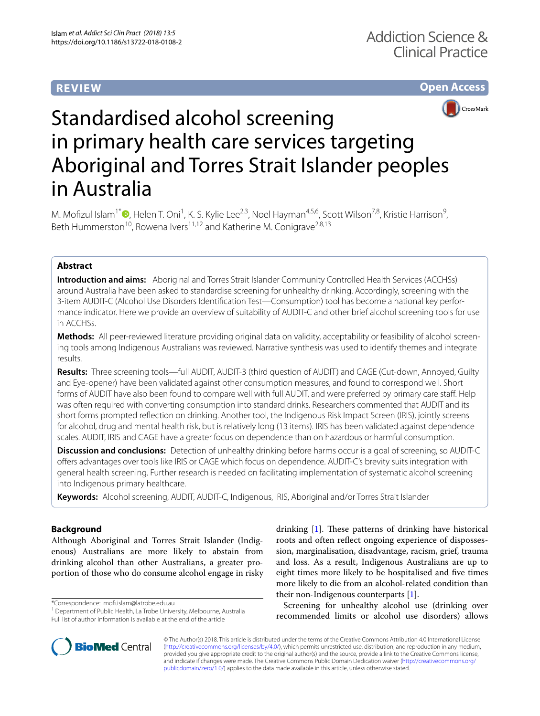# **REVIEW**

# **Open Access**



# Standardised alcohol screening in primary health care services targeting Aboriginal and Torres Strait Islander peoples in Australia

M. Mofizul Islam<sup>1\*</sup><sup>®</sup>[,](http://orcid.org/0000-0003-1330-863X) Helen T. Oni<sup>1</sup>, K. S. Kylie Lee<sup>2,3</sup>, Noel Hayman<sup>4,5,6</sup>, Scott Wilson<sup>7,8</sup>, Kristie Harrison<sup>9</sup>, Beth Hummerston<sup>10</sup>, Rowena Ivers<sup>11,12</sup> and Katherine M. Conigrave<sup>2,8,13</sup>

# **Abstract**

**Introduction and aims:** Aboriginal and Torres Strait Islander Community Controlled Health Services (ACCHSs) around Australia have been asked to standardise screening for unhealthy drinking. Accordingly, screening with the 3-item AUDIT-C (Alcohol Use Disorders Identifcation Test—Consumption) tool has become a national key performance indicator. Here we provide an overview of suitability of AUDIT-C and other brief alcohol screening tools for use in ACCHSs.

**Methods:** All peer-reviewed literature providing original data on validity, acceptability or feasibility of alcohol screening tools among Indigenous Australians was reviewed. Narrative synthesis was used to identify themes and integrate results.

**Results:** Three screening tools—full AUDIT, AUDIT-3 (third question of AUDIT) and CAGE (Cut-down, Annoyed, Guilty and Eye-opener) have been validated against other consumption measures, and found to correspond well. Short forms of AUDIT have also been found to compare well with full AUDIT, and were preferred by primary care staff. Help was often required with converting consumption into standard drinks. Researchers commented that AUDIT and its short forms prompted refection on drinking. Another tool, the Indigenous Risk Impact Screen (IRIS), jointly screens for alcohol, drug and mental health risk, but is relatively long (13 items). IRIS has been validated against dependence scales. AUDIT, IRIS and CAGE have a greater focus on dependence than on hazardous or harmful consumption.

**Discussion and conclusions:** Detection of unhealthy drinking before harms occur is a goal of screening, so AUDIT-C ofers advantages over tools like IRIS or CAGE which focus on dependence. AUDIT-C's brevity suits integration with general health screening. Further research is needed on facilitating implementation of systematic alcohol screening into Indigenous primary healthcare.

**Keywords:** Alcohol screening, AUDIT, AUDIT-C, Indigenous, IRIS, Aboriginal and/or Torres Strait Islander

# **Background**

Although Aboriginal and Torres Strait Islander (Indigenous) Australians are more likely to abstain from drinking alcohol than other Australians, a greater proportion of those who do consume alcohol engage in risky

\*Correspondence: mof.islam@latrobe.edu.au

<sup>1</sup> Department of Public Health, La Trobe University, Melbourne, Australia Full list of author information is available at the end of the article

drinking  $[1]$  $[1]$ . These patterns of drinking have historical roots and often refect ongoing experience of dispossession, marginalisation, disadvantage, racism, grief, trauma and loss. As a result, Indigenous Australians are up to eight times more likely to be hospitalised and fve times more likely to die from an alcohol-related condition than their non-Indigenous counterparts [\[1\]](#page-10-0).

Screening for unhealthy alcohol use (drinking over recommended limits or alcohol use disorders) allows



© The Author(s) 2018. This article is distributed under the terms of the Creative Commons Attribution 4.0 International License [\(http://creativecommons.org/licenses/by/4.0/\)](http://creativecommons.org/licenses/by/4.0/), which permits unrestricted use, distribution, and reproduction in any medium, provided you give appropriate credit to the original author(s) and the source, provide a link to the Creative Commons license, and indicate if changes were made. The Creative Commons Public Domain Dedication waiver ([http://creativecommons.org/](http://creativecommons.org/publicdomain/zero/1.0/) [publicdomain/zero/1.0/](http://creativecommons.org/publicdomain/zero/1.0/)) applies to the data made available in this article, unless otherwise stated.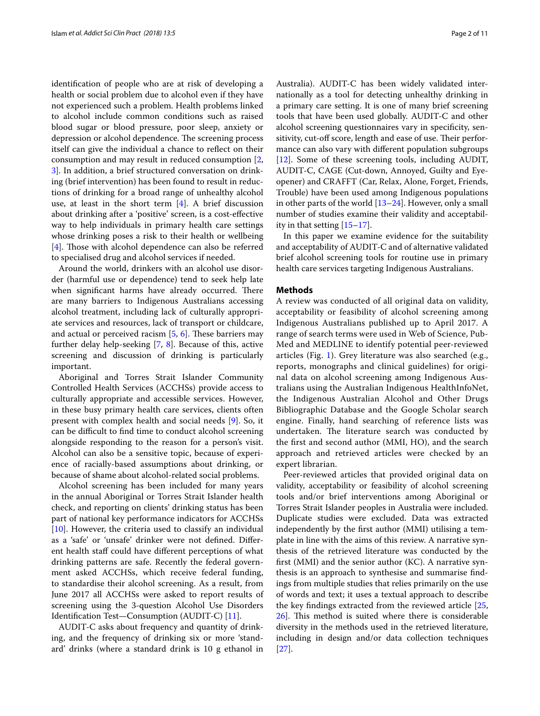identifcation of people who are at risk of developing a health or social problem due to alcohol even if they have not experienced such a problem. Health problems linked to alcohol include common conditions such as raised blood sugar or blood pressure, poor sleep, anxiety or depression or alcohol dependence. The screening process itself can give the individual a chance to refect on their consumption and may result in reduced consumption [\[2](#page-10-1), [3\]](#page-10-2). In addition, a brief structured conversation on drinking (brief intervention) has been found to result in reductions of drinking for a broad range of unhealthy alcohol use, at least in the short term [[4](#page-10-3)]. A brief discussion about drinking after a 'positive' screen, is a cost-efective way to help individuals in primary health care settings whose drinking poses a risk to their health or wellbeing [[4\]](#page-10-3). Those with alcohol dependence can also be referred to specialised drug and alcohol services if needed.

Around the world, drinkers with an alcohol use disorder (harmful use or dependence) tend to seek help late when significant harms have already occurred. There are many barriers to Indigenous Australians accessing alcohol treatment, including lack of culturally appropriate services and resources, lack of transport or childcare, and actual or perceived racism  $[5, 6]$  $[5, 6]$  $[5, 6]$  $[5, 6]$ . These barriers may further delay help-seeking [[7](#page-11-1), [8](#page-11-2)]. Because of this, active screening and discussion of drinking is particularly important.

Aboriginal and Torres Strait Islander Community Controlled Health Services (ACCHSs) provide access to culturally appropriate and accessible services. However, in these busy primary health care services, clients often present with complex health and social needs [[9\]](#page-11-3). So, it can be difficult to find time to conduct alcohol screening alongside responding to the reason for a person's visit. Alcohol can also be a sensitive topic, because of experience of racially-based assumptions about drinking, or because of shame about alcohol-related social problems.

Alcohol screening has been included for many years in the annual Aboriginal or Torres Strait Islander health check, and reporting on clients' drinking status has been part of national key performance indicators for ACCHSs [[10\]](#page-11-4). However, the criteria used to classify an individual as a 'safe' or 'unsafe' drinker were not defned. Diferent health staff could have different perceptions of what drinking patterns are safe. Recently the federal government asked ACCHSs, which receive federal funding, to standardise their alcohol screening. As a result, from June 2017 all ACCHSs were asked to report results of screening using the 3-question Alcohol Use Disorders Identifcation Test—Consumption (AUDIT-C) [\[11](#page-11-5)].

AUDIT-C asks about frequency and quantity of drinking, and the frequency of drinking six or more 'standard' drinks (where a standard drink is 10 g ethanol in

Australia). AUDIT-C has been widely validated internationally as a tool for detecting unhealthy drinking in a primary care setting. It is one of many brief screening tools that have been used globally. AUDIT-C and other alcohol screening questionnaires vary in specifcity, sensitivity, cut-off score, length and ease of use. Their performance can also vary with diferent population subgroups [[12\]](#page-11-6). Some of these screening tools, including AUDIT, AUDIT-C, CAGE (Cut-down, Annoyed, Guilty and Eyeopener) and CRAFFT (Car, Relax, Alone, Forget, Friends, Trouble) have been used among Indigenous populations in other parts of the world  $[13–24]$  $[13–24]$  $[13–24]$  $[13–24]$ . However, only a small number of studies examine their validity and acceptability in that setting [\[15](#page-11-9)[–17](#page-11-10)].

In this paper we examine evidence for the suitability and acceptability of AUDIT-C and of alternative validated brief alcohol screening tools for routine use in primary health care services targeting Indigenous Australians.

#### **Methods**

A review was conducted of all original data on validity, acceptability or feasibility of alcohol screening among Indigenous Australians published up to April 2017. A range of search terms were used in Web of Science, Pub-Med and MEDLINE to identify potential peer-reviewed articles (Fig. [1](#page-4-0)). Grey literature was also searched (e.g., reports, monographs and clinical guidelines) for original data on alcohol screening among Indigenous Australians using the Australian Indigenous HealthInfoNet, the Indigenous Australian Alcohol and Other Drugs Bibliographic Database and the Google Scholar search engine. Finally, hand searching of reference lists was undertaken. The literature search was conducted by the frst and second author (MMI, HO), and the search approach and retrieved articles were checked by an expert librarian.

Peer-reviewed articles that provided original data on validity, acceptability or feasibility of alcohol screening tools and/or brief interventions among Aboriginal or Torres Strait Islander peoples in Australia were included. Duplicate studies were excluded. Data was extracted independently by the frst author (MMI) utilising a template in line with the aims of this review. A narrative synthesis of the retrieved literature was conducted by the frst (MMI) and the senior author (KC). A narrative synthesis is an approach to synthesise and summarise fndings from multiple studies that relies primarily on the use of words and text; it uses a textual approach to describe the key fndings extracted from the reviewed article [[25](#page-11-11), [26\]](#page-11-12). This method is suited where there is considerable diversity in the methods used in the retrieved literature, including in design and/or data collection techniques [[27\]](#page-11-13).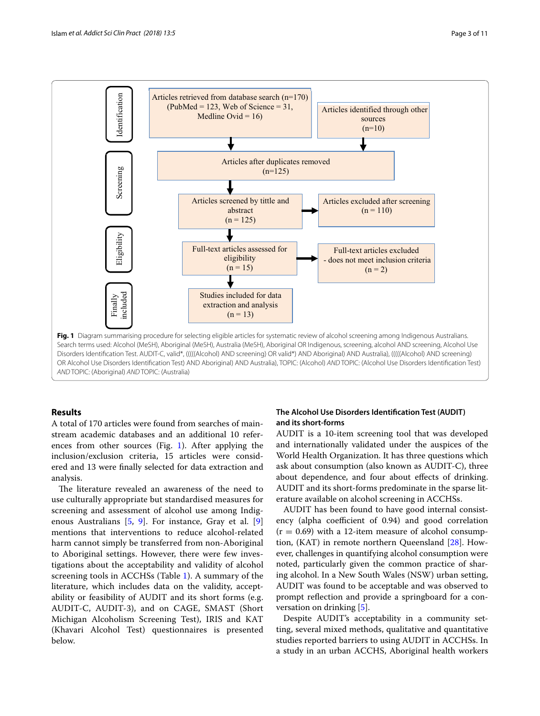

## <span id="page-4-0"></span>**Results**

A total of 170 articles were found from searches of mainstream academic databases and an additional 10 references from other sources (Fig. [1](#page-4-0)). After applying the inclusion/exclusion criteria, 15 articles were considered and 13 were fnally selected for data extraction and analysis.

The literature revealed an awareness of the need to use culturally appropriate but standardised measures for screening and assessment of alcohol use among Indigenous Australians [[5,](#page-10-4) [9\]](#page-11-3). For instance, Gray et al. [\[9](#page-11-3)] mentions that interventions to reduce alcohol-related harm cannot simply be transferred from non-Aboriginal to Aboriginal settings. However, there were few investigations about the acceptability and validity of alcohol screening tools in ACCHSs (Table [1\)](#page-5-0). A summary of the literature, which includes data on the validity, acceptability or feasibility of AUDIT and its short forms (e.g. AUDIT-C, AUDIT-3), and on CAGE, SMAST (Short Michigan Alcoholism Screening Test), IRIS and KAT (Khavari Alcohol Test) questionnaires is presented below.

## **The Alcohol Use Disorders Identifcation Test (AUDIT) and its short‑forms**

AUDIT is a 10-item screening tool that was developed and internationally validated under the auspices of the World Health Organization. It has three questions which ask about consumption (also known as AUDIT-C), three about dependence, and four about efects of drinking. AUDIT and its short-forms predominate in the sparse literature available on alcohol screening in ACCHSs.

AUDIT has been found to have good internal consistency (alpha coefficient of  $0.94$ ) and good correlation  $(r = 0.69)$  with a 12-item measure of alcohol consumption, (KAT) in remote northern Queensland [[28](#page-11-14)]. However, challenges in quantifying alcohol consumption were noted, particularly given the common practice of sharing alcohol. In a New South Wales (NSW) urban setting, AUDIT was found to be acceptable and was observed to prompt refection and provide a springboard for a con-versation on drinking [[5\]](#page-10-4).

Despite AUDIT's acceptability in a community setting, several mixed methods, qualitative and quantitative studies reported barriers to using AUDIT in ACCHSs. In a study in an urban ACCHS, Aboriginal health workers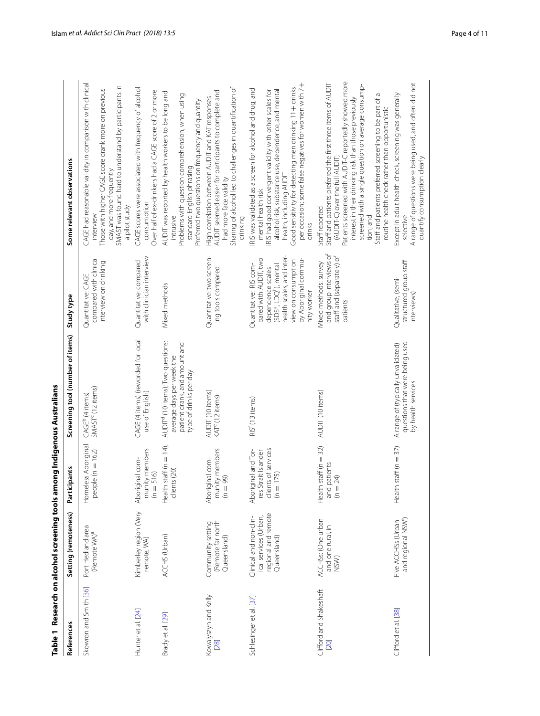<span id="page-5-0"></span>

| References                      | Table 1 Research on alcohol screening tools among Indigenous Australians<br>Setting (remoteness) | Participants                                                                     | Screening tool (number of items)                                                                                                      | Study type                                                                                                                                                                                            | Some relevant observations                                                                                                                                                                                                                                                                                                                                                                                         |
|---------------------------------|--------------------------------------------------------------------------------------------------|----------------------------------------------------------------------------------|---------------------------------------------------------------------------------------------------------------------------------------|-------------------------------------------------------------------------------------------------------------------------------------------------------------------------------------------------------|--------------------------------------------------------------------------------------------------------------------------------------------------------------------------------------------------------------------------------------------------------------------------------------------------------------------------------------------------------------------------------------------------------------------|
| Skowron and Smith [36]          | Port Hedland area<br>(Remote WA) <sup>a</sup>                                                    | Homeless Aboriginal<br>$people (n = 162)$                                        | SMAST <sup>c</sup> (12 items)<br>CAGE <sup>b</sup> (4 items)                                                                          | compared with clinical<br>interview on drinking<br>Quantitative: CAGE                                                                                                                                 | CAGE had reasonable validity in comparison with clinical<br>SMAST was found hard to understand by participants in<br>Those with higher CAGE score drank more on previous<br>day, and more frequently<br>a pilot study<br>interview                                                                                                                                                                                 |
| Hunter et al. [24]              | Kimberley region (Very<br>remote, WA)                                                            | munity members<br>Aboriginal com-<br>$(n = 516)$                                 | CAGE (4 items) (reworded for local<br>use of English)                                                                                 | with clinician interview<br>Quantitative: compared                                                                                                                                                    | CAGE scores were associated with frequency of alcohol<br>Over half of ex-drinkers had a CAGE score of 2 or more<br>consumption                                                                                                                                                                                                                                                                                     |
| Brady et al. [29]               | ACCHS (Urban)                                                                                    | Health staff (n = 14),<br>clients (20)                                           | AUDIT <sup>d</sup> (10 items); Two questions:<br>patient drank, and amount and<br>average days per week the<br>type of drinks per day | Mixed methods                                                                                                                                                                                         | AUDIT was reported by health workers to be long and<br>Problems with question comprehension, when using<br>Preferred two questions on frequency and quantity<br>standard English phrasing<br>intrusive                                                                                                                                                                                                             |
| Kowalyszyn and Kelly<br>[28]    | (Remote far north<br>Community setting<br>Queensland)                                            | munity members<br>Aboriginal com-<br>(66.<br>르                                   | AUDIT (10 items)<br>KAT <sup>e</sup> (12 items)                                                                                       | Quantitative: two screen-<br>ing tools compared                                                                                                                                                       | Sharing of alcohol led to challenges in quantification of<br>AUDIT seemed easier for participants to complete and<br>High correlation between AUDIT and KAT responses<br>had more face validity<br>drinking                                                                                                                                                                                                        |
| Schlesinger et al. [37]         | regional and remote<br>Clinical and non-clin-<br>ical services (Urban,<br>Queensland)            | clients of services<br>Aboriginal and Tor-<br>res Strait Islander<br>$(n = 175)$ | IRIS <sup>f</sup> (13 items)                                                                                                          | health scales, and inter-<br>pared with AUDIT, two<br>by Aboriginal commu-<br>view on consumption<br>Quantitative: IRIS com-<br>(SDS9, LDQ <sup>h</sup> ), mental<br>dependence scales<br>nity worker | per occasion; some false negatives for women with 7+<br>Good sensitivity for detecting men drinking 11+ drinks<br>IRIS was validated as a screen for alcohol and drug, and<br>alcohol risk, substance use, dependence, and mental<br>IRIS had good convergent validity with other scales for<br>health, including AUDIT<br>mental health risk<br>drinks                                                            |
| Clifford and Shakeshaft<br>[20] | ACCHSs: (One urban<br>and one rural, in<br>NSW)                                                  | Health staff (n = 32)<br>patients<br>$= 24$<br>and <sub>1</sub><br>르             | AUDIT (10 items)                                                                                                                      | and group interviews of<br>staff and (separately) of<br>Mixed methods: survey<br>patients                                                                                                             | Patients screened with AUDIT-C reportedly showed more<br>Staff and patients preferred the first three items of AUDIT<br>screened with a single question on average consump-<br>Staff and patients preferred screening to be part of a<br>interest in their drinking risk than those previously<br>routine health check rather than opportunistic<br>(AUDIT-C) over the full AUDIT;<br>Staff reported:<br>tion; and |
| Clifford et al. [38]            | and regional NSW <sup>1</sup> )<br>Five ACCHSs (Urban                                            | Health staff ( $n = 37$ )                                                        | questions that were being used<br>A range of (typically unvalidated)<br>by health services                                            | structured group staff<br>Qualitative; (semi-<br>interviews)                                                                                                                                          | A range of questions were being used, and often did not<br>Except in adult health check, screening was generally<br>quantify consumption clearly<br>selective                                                                                                                                                                                                                                                      |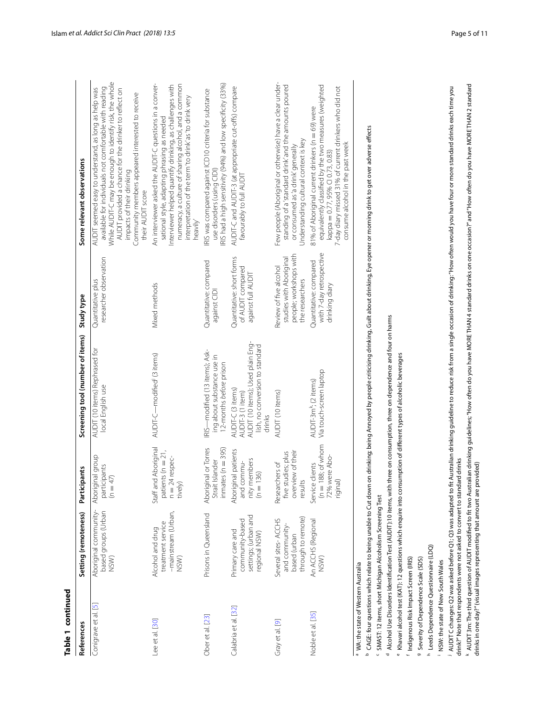| <b>Labititities - Pice</b>                        |                                                                              |                                                                              |                                                                                                                                           |                                                                                                |                                                                                                                                                                                                                                                                                                                                          |
|---------------------------------------------------|------------------------------------------------------------------------------|------------------------------------------------------------------------------|-------------------------------------------------------------------------------------------------------------------------------------------|------------------------------------------------------------------------------------------------|------------------------------------------------------------------------------------------------------------------------------------------------------------------------------------------------------------------------------------------------------------------------------------------------------------------------------------------|
| References                                        | Setting (remoteness)                                                         | Participants                                                                 | Screening tool (number of items)                                                                                                          | Study type                                                                                     | Some relevant observations                                                                                                                                                                                                                                                                                                               |
| Conigrave et al. [5]                              | Aboriginal community-<br>based groups (Urban<br>NSW)                         | Aboriginal group<br>participants<br>$(n = 47)$                               | AUDIT (10 items) Rephrased for<br>local English use                                                                                       | researcher observation<br>Quantitative plus                                                    | While AUDIT-C may be enough to identify risk, the whole<br>available for individuals not comfortable with reading<br>AUDIT seemed easy to understand, as long as help was<br>AUDIT provided a chance for the drinker to reflect on<br>Community members appeared interested to receive<br>impacts of their drinking<br>their AUDIT score |
| Lee et al. [30]                                   | -mainstream (Urban,<br>NSW)<br>Alcohol and drug<br>treatment service         | Staff and Aboriginal<br>patients ( $n = 21$ ,<br>$n = 24$ respec-<br>tively) | AUDIT-C—modified <sup>i</sup> (3 items)                                                                                                   | Mixed methods                                                                                  | An interviewer asked the AUDIT-C questions in a conver-<br>numeracy, a culture of sharing alcohol, and a common<br>Interviewer helped quantify drinking, as challenges with<br>interpretation of the term 'to drink' as 'to drink very<br>sational style, adapting phrasing as needed<br>heavily'                                        |
| Ober et al. [23]                                  | Prisons in Queensland                                                        | Aboriginal or Torres<br>inmates ( $n = 395$ )<br>Strait Islander             | IRIS—modified (13 items); Ask-<br>ing about substance use in<br>12-months before prison                                                   | Quantitative: compared<br>against CIDI                                                         | IRIS had a high sensitivity (94%) and low specificity (33%)<br>RIS was compared against ICD10 criteria for substance<br>use disorders (using CIDI)                                                                                                                                                                                       |
| Calabria et al. [32]                              | settings; (urban and<br>community-based<br>Primary care and<br>regional NSW) | Aboriginal patients<br>nity members<br>$(n = 136)$<br>and commu-             | AUDIT (10 items); Used plain Eng-<br>lish, no conversion to standard<br>AUDIT-C (3 items)<br>AUDIT-3 (1 item)<br>drinks                   | Quantitative: short forms<br>of AUDIT compared<br>against full AUDIT                           | AUDIT-C and AUDIT-3 (at appropriate cut-offs) compare<br>favourably to full AUDIT                                                                                                                                                                                                                                                        |
| Gray et al. [9]                                   | through to remote)<br>Several sites-ACCHS<br>and community-<br>based (urban  | five studies; plus<br>overview of their<br>Researchers of<br>results         | AUDIT (10 items)                                                                                                                          | people; workshops with<br>studies with Aboriginal<br>Review of five alcohol<br>the researchers | Few people (Aboriginal or otherwise) have a clear under-<br>standing of a'standard drink'and the amounts poured<br>Understanding cultural context is key<br>or consumed as 'a drink' generally                                                                                                                                           |
| Noble et al. [35]                                 | An ACCHS (Regional<br>NSW)                                                   | $(n = 188;$ of whom<br>72% were Abo-<br>Service clients<br>riginal           | Via touch-screen laptop<br>AUDIT-3m <sup>k</sup> ; (2 items)                                                                              | with 7-day retrospective<br>Quantitative: compared<br>drinking diary                           | equivalently classified by the two measures (weighted<br>7-day diary missed 31% of current drinkers who did not<br>81% of Aboriginal current drinkers (n = 69) were<br>consume alcohol in the past week<br>kappa = 0.77, 95% CI 0.73, 0.83)                                                                                              |
| <sup>a</sup> WA: the state of Western Australia   |                                                                              |                                                                              |                                                                                                                                           |                                                                                                |                                                                                                                                                                                                                                                                                                                                          |
|                                                   | SMAST: 12 items, short Michigan Alcoholism Screening Test                    |                                                                              |                                                                                                                                           |                                                                                                | <sup>b</sup> CAGE: four questions which relate to being unable to Cut down on drinking; being Annoyed by people criticising drinking, Guilt about drinking, Eye opener or morning drink to get over adverse effects                                                                                                                      |
|                                                   |                                                                              |                                                                              | <sup>d</sup> Alcohol Use Disorders Identification Test (AUDIT):10 items, with three on consumption, three on dependence and four on harms |                                                                                                |                                                                                                                                                                                                                                                                                                                                          |
|                                                   |                                                                              |                                                                              | $^{\rm e}$ Khavari alcohol test (KAT): 12 questions which enquire into consumption of different types of alcoholic beverages              |                                                                                                |                                                                                                                                                                                                                                                                                                                                          |
| f Indigenous Risk Impact Screen (IRIS)            |                                                                              |                                                                              |                                                                                                                                           |                                                                                                |                                                                                                                                                                                                                                                                                                                                          |
| Severity of Dependence Scale (SDS)<br>ō           |                                                                              |                                                                              |                                                                                                                                           |                                                                                                |                                                                                                                                                                                                                                                                                                                                          |
| <sup>h</sup> Leeds Dependence Questionnaire (LDQ) |                                                                              |                                                                              |                                                                                                                                           |                                                                                                |                                                                                                                                                                                                                                                                                                                                          |

**Table 1continued**

INSW: the state of New South Wales NSW: the state of New South Wales

J AUDIT C changes: Q2 was asked before Q1; Q3 was adapted to fit Australian drinking guideline to reduce risk from a single occasion of drinking;"How often would you have four or more standard drinks each time you<br>drink?" j AUDIT C changes: Q2 was asked before Q1; Q3 was adapted to ft Australian drinking guideline to reduce risk from a single occasion of drinking: "How often would you have four or more standard drinks each time you drink?" Note that respondents were not asked to convert to standard drinks

k AUDIT 3m: The third question of AUDIT modified to fit two Australian drinking guiddlines; "How often do you have MORE THAN 4 standard drinks on one occasion?" and "How often do you have MORE THAN 2 standard<br>drinks in one AUDIT 3m: The third question of AUDIT modifed to ft two Australian drinking guidelines; "How often do you have MORE THAN 4 standard drinks on one occasion?" and "How often do you have MORE THAN 2 standard drinks in one day?" (visual images representing that amount are provided)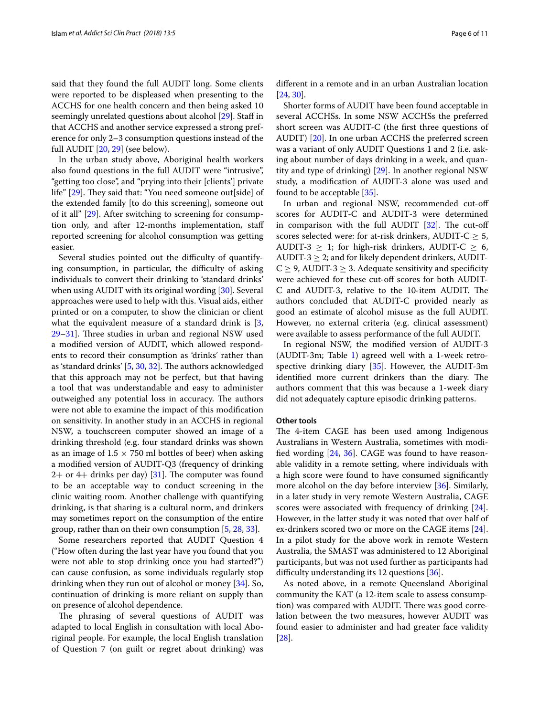said that they found the full AUDIT long. Some clients were reported to be displeased when presenting to the ACCHS for one health concern and then being asked 10 seemingly unrelated questions about alcohol [[29\]](#page-11-16). Staff in that ACCHS and another service expressed a strong preference for only 2–3 consumption questions instead of the full AUDIT  $[20, 29]$  $[20, 29]$  $[20, 29]$  $[20, 29]$  (see below).

In the urban study above, Aboriginal health workers also found questions in the full AUDIT were "intrusive", "getting too close", and "prying into their [clients'] private life"  $[29]$  $[29]$  $[29]$ . They said that: "You need someone out [side] of the extended family [to do this screening], someone out of it all" [\[29\]](#page-11-16). After switching to screening for consumption only, and after 12-months implementation, staf reported screening for alcohol consumption was getting easier.

Several studies pointed out the difficulty of quantifying consumption, in particular, the difficulty of asking individuals to convert their drinking to 'standard drinks' when using AUDIT with its original wording [[30](#page-11-20)]. Several approaches were used to help with this. Visual aids, either printed or on a computer, to show the clinician or client what the equivalent measure of a standard drink is [\[3](#page-10-2), [29–](#page-11-16)[31](#page-11-24)]. Three studies in urban and regional NSW used a modifed version of AUDIT, which allowed respondents to record their consumption as 'drinks' rather than as 'standard drinks' [\[5](#page-10-4), [30,](#page-11-20) [32\]](#page-11-22). The authors acknowledged that this approach may not be perfect, but that having a tool that was understandable and easy to administer outweighed any potential loss in accuracy. The authors were not able to examine the impact of this modifcation on sensitivity. In another study in an ACCHS in regional NSW, a touchscreen computer showed an image of a drinking threshold (e.g. four standard drinks was shown as an image of  $1.5 \times 750$  ml bottles of beer) when asking a modifed version of AUDIT-Q3 (frequency of drinking  $2+$  or 4+ drinks per day) [[31\]](#page-11-24). The computer was found to be an acceptable way to conduct screening in the clinic waiting room. Another challenge with quantifying drinking, is that sharing is a cultural norm, and drinkers may sometimes report on the consumption of the entire group, rather than on their own consumption [[5](#page-10-4), [28,](#page-11-14) [33](#page-11-25)].

Some researchers reported that AUDIT Question 4 ("How often during the last year have you found that you were not able to stop drinking once you had started?") can cause confusion, as some individuals regularly stop drinking when they run out of alcohol or money [\[34](#page-11-26)]. So, continuation of drinking is more reliant on supply than on presence of alcohol dependence.

The phrasing of several questions of AUDIT was adapted to local English in consultation with local Aboriginal people. For example, the local English translation of Question 7 (on guilt or regret about drinking) was

diferent in a remote and in an urban Australian location [[24,](#page-11-8) [30](#page-11-20)].

Shorter forms of AUDIT have been found acceptable in several ACCHSs. In some NSW ACCHSs the preferred short screen was AUDIT-C (the frst three questions of AUDIT) [[20\]](#page-11-18). In one urban ACCHS the preferred screen was a variant of only AUDIT Questions 1 and 2 (i.e. asking about number of days drinking in a week, and quantity and type of drinking) [\[29\]](#page-11-16). In another regional NSW study, a modifcation of AUDIT-3 alone was used and found to be acceptable [\[35\]](#page-11-23).

In urban and regional NSW, recommended cut-of scores for AUDIT-C and AUDIT-3 were determined in comparison with the full AUDIT  $[32]$  $[32]$  $[32]$ . The cut-off scores selected were: for at-risk drinkers, AUDIT-C  $\geq$  5, AUDIT-3  $\geq$  1; for high-risk drinkers, AUDIT-C  $\geq$  6, AUDIT-3  $\geq$  2; and for likely dependent drinkers, AUDIT- $C \geq 9$ , AUDIT-3  $\geq 3$ . Adequate sensitivity and specificity were achieved for these cut-off scores for both AUDIT-C and AUDIT-3, relative to the 10-item AUDIT. The authors concluded that AUDIT-C provided nearly as good an estimate of alcohol misuse as the full AUDIT. However, no external criteria (e.g. clinical assessment) were available to assess performance of the full AUDIT.

In regional NSW, the modifed version of AUDIT-3 (AUDIT-3m; Table [1](#page-5-0)) agreed well with a 1-week retrospective drinking diary [[35\]](#page-11-23). However, the AUDIT-3m identified more current drinkers than the diary. The authors comment that this was because a 1-week diary did not adequately capture episodic drinking patterns.

#### **Other tools**

The 4-item CAGE has been used among Indigenous Australians in Western Australia, sometimes with modifed wording [[24,](#page-11-8) [36\]](#page-11-15). CAGE was found to have reasonable validity in a remote setting, where individuals with a high score were found to have consumed signifcantly more alcohol on the day before interview [\[36](#page-11-15)]. Similarly, in a later study in very remote Western Australia, CAGE scores were associated with frequency of drinking [\[24](#page-11-8)]. However, in the latter study it was noted that over half of ex-drinkers scored two or more on the CAGE items [\[24](#page-11-8)]. In a pilot study for the above work in remote Western Australia, the SMAST was administered to 12 Aboriginal participants, but was not used further as participants had difficulty understanding its 12 questions [[36\]](#page-11-15).

As noted above, in a remote Queensland Aboriginal community the KAT (a 12-item scale to assess consumption) was compared with AUDIT. There was good correlation between the two measures, however AUDIT was found easier to administer and had greater face validity [[28\]](#page-11-14).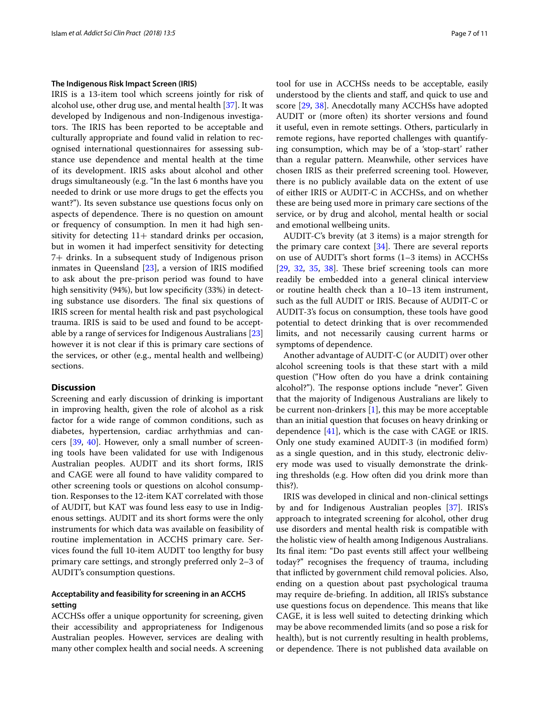#### **The Indigenous Risk Impact Screen (IRIS)**

IRIS is a 13-item tool which screens jointly for risk of alcohol use, other drug use, and mental health [\[37\]](#page-11-17). It was developed by Indigenous and non-Indigenous investigators. The IRIS has been reported to be acceptable and culturally appropriate and found valid in relation to recognised international questionnaires for assessing substance use dependence and mental health at the time of its development. IRIS asks about alcohol and other drugs simultaneously (e.g. "In the last 6 months have you needed to drink or use more drugs to get the efects you want?"). Its seven substance use questions focus only on aspects of dependence. There is no question on amount or frequency of consumption. In men it had high sensitivity for detecting  $11+$  standard drinks per occasion, but in women it had imperfect sensitivity for detecting 7+ drinks. In a subsequent study of Indigenous prison inmates in Queensland [\[23](#page-11-21)], a version of IRIS modifed to ask about the pre-prison period was found to have high sensitivity (94%), but low specificity (33%) in detecting substance use disorders. The final six questions of IRIS screen for mental health risk and past psychological trauma. IRIS is said to be used and found to be acceptable by a range of services for Indigenous Australians [[23](#page-11-21)] however it is not clear if this is primary care sections of the services, or other (e.g., mental health and wellbeing) sections.

#### **Discussion**

Screening and early discussion of drinking is important in improving health, given the role of alcohol as a risk factor for a wide range of common conditions, such as diabetes, hypertension, cardiac arrhythmias and cancers [\[39,](#page-11-27) [40\]](#page-11-28). However, only a small number of screening tools have been validated for use with Indigenous Australian peoples. AUDIT and its short forms, IRIS and CAGE were all found to have validity compared to other screening tools or questions on alcohol consumption. Responses to the 12-item KAT correlated with those of AUDIT, but KAT was found less easy to use in Indigenous settings. AUDIT and its short forms were the only instruments for which data was available on feasibility of routine implementation in ACCHS primary care. Services found the full 10-item AUDIT too lengthy for busy primary care settings, and strongly preferred only 2–3 of AUDIT's consumption questions.

# **Acceptability and feasibility for screening in an ACCHS setting**

ACCHSs offer a unique opportunity for screening, given their accessibility and appropriateness for Indigenous Australian peoples. However, services are dealing with many other complex health and social needs. A screening tool for use in ACCHSs needs to be acceptable, easily understood by the clients and staf, and quick to use and score [\[29](#page-11-16), [38](#page-11-19)]. Anecdotally many ACCHSs have adopted AUDIT or (more often) its shorter versions and found it useful, even in remote settings. Others, particularly in remote regions, have reported challenges with quantifying consumption, which may be of a 'stop-start' rather than a regular pattern. Meanwhile, other services have chosen IRIS as their preferred screening tool. However, there is no publicly available data on the extent of use of either IRIS or AUDIT-C in ACCHSs, and on whether these are being used more in primary care sections of the service, or by drug and alcohol, mental health or social and emotional wellbeing units.

AUDIT-C's brevity (at 3 items) is a major strength for the primary care context  $[34]$  $[34]$ . There are several reports on use of AUDIT's short forms (1–3 items) in ACCHSs  $[29, 32, 35, 38]$  $[29, 32, 35, 38]$  $[29, 32, 35, 38]$  $[29, 32, 35, 38]$  $[29, 32, 35, 38]$  $[29, 32, 35, 38]$  $[29, 32, 35, 38]$  $[29, 32, 35, 38]$ . These brief screening tools can more readily be embedded into a general clinical interview or routine health check than a 10–13 item instrument, such as the full AUDIT or IRIS. Because of AUDIT-C or AUDIT-3's focus on consumption, these tools have good potential to detect drinking that is over recommended limits, and not necessarily causing current harms or symptoms of dependence.

Another advantage of AUDIT-C (or AUDIT) over other alcohol screening tools is that these start with a mild question ("How often do you have a drink containing alcohol?"). The response options include "never". Given that the majority of Indigenous Australians are likely to be current non-drinkers [\[1](#page-10-0)], this may be more acceptable than an initial question that focuses on heavy drinking or dependence  $[41]$  $[41]$ , which is the case with CAGE or IRIS. Only one study examined AUDIT-3 (in modifed form) as a single question, and in this study, electronic delivery mode was used to visually demonstrate the drinking thresholds (e.g. How often did you drink more than this?).

IRIS was developed in clinical and non-clinical settings by and for Indigenous Australian peoples [\[37](#page-11-17)]. IRIS's approach to integrated screening for alcohol, other drug use disorders and mental health risk is compatible with the holistic view of health among Indigenous Australians. Its fnal item: "Do past events still afect your wellbeing today?" recognises the frequency of trauma, including that inficted by government child removal policies. Also, ending on a question about past psychological trauma may require de-briefng. In addition, all IRIS's substance use questions focus on dependence. This means that like CAGE, it is less well suited to detecting drinking which may be above recommended limits (and so pose a risk for health), but is not currently resulting in health problems, or dependence. There is not published data available on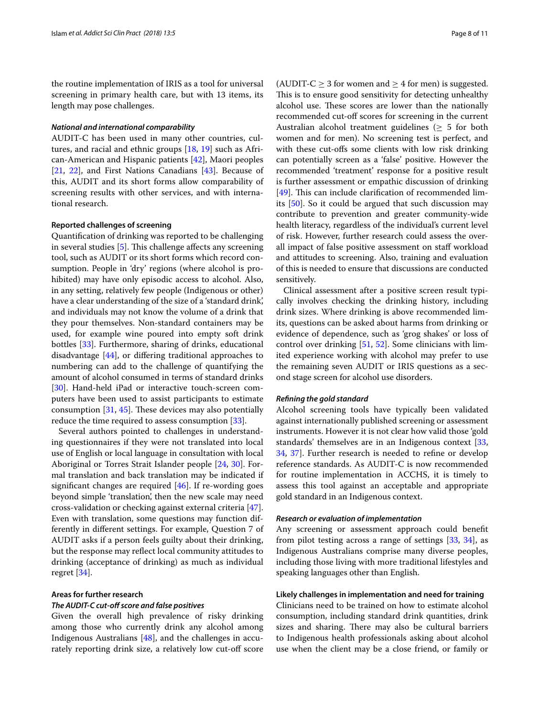the routine implementation of IRIS as a tool for universal screening in primary health care, but with 13 items, its length may pose challenges.

#### *National and international comparability*

AUDIT-C has been used in many other countries, cultures, and racial and ethnic groups [[18](#page-11-30), [19](#page-11-31)] such as African-American and Hispanic patients [\[42](#page-11-32)], Maori peoples [[21,](#page-11-33) [22](#page-11-34)], and First Nations Canadians [\[43](#page-11-35)]. Because of this, AUDIT and its short forms allow comparability of screening results with other services, and with international research.

#### **Reported challenges of screening**

Quantifcation of drinking was reported to be challenging in several studies [\[5](#page-10-4)]. This challenge affects any screening tool, such as AUDIT or its short forms which record consumption. People in 'dry' regions (where alcohol is prohibited) may have only episodic access to alcohol. Also, in any setting, relatively few people (Indigenous or other) have a clear understanding of the size of a 'standard drink', and individuals may not know the volume of a drink that they pour themselves. Non-standard containers may be used, for example wine poured into empty soft drink bottles [[33\]](#page-11-25). Furthermore, sharing of drinks, educational disadvantage [\[44](#page-11-36)], or difering traditional approaches to numbering can add to the challenge of quantifying the amount of alcohol consumed in terms of standard drinks [[30\]](#page-11-20). Hand-held iPad or interactive touch-screen computers have been used to assist participants to estimate consumption  $[31, 45]$  $[31, 45]$  $[31, 45]$  $[31, 45]$  $[31, 45]$ . These devices may also potentially reduce the time required to assess consumption [\[33\]](#page-11-25).

Several authors pointed to challenges in understanding questionnaires if they were not translated into local use of English or local language in consultation with local Aboriginal or Torres Strait Islander people [\[24,](#page-11-8) [30\]](#page-11-20). Formal translation and back translation may be indicated if signifcant changes are required [\[46](#page-11-38)]. If re-wording goes beyond simple 'translation', then the new scale may need cross-validation or checking against external criteria [\[47](#page-12-0)]. Even with translation, some questions may function differently in diferent settings. For example, Question 7 of AUDIT asks if a person feels guilty about their drinking, but the response may refect local community attitudes to drinking (acceptance of drinking) as much as individual regret [[34](#page-11-26)].

## **Areas for further research** *The AUDIT‑C cut‑of score and false positives*

Given the overall high prevalence of risky drinking among those who currently drink any alcohol among Indigenous Australians [\[48](#page-12-1)], and the challenges in accurately reporting drink size, a relatively low cut-off score (AUDIT-C  $\geq$  3 for women and  $\geq$  4 for men) is suggested. This is to ensure good sensitivity for detecting unhealthy alcohol use. These scores are lower than the nationally recommended cut-off scores for screening in the current Australian alcohol treatment guidelines ( $\geq$  5 for both women and for men). No screening test is perfect, and with these cut-offs some clients with low risk drinking can potentially screen as a 'false' positive. However the recommended 'treatment' response for a positive result is further assessment or empathic discussion of drinking [ $49$ ]. This can include clarification of recommended limits [\[50\]](#page-12-3). So it could be argued that such discussion may contribute to prevention and greater community-wide health literacy, regardless of the individual's current level of risk. However, further research could assess the overall impact of false positive assessment on staf workload and attitudes to screening. Also, training and evaluation of this is needed to ensure that discussions are conducted sensitively.

Clinical assessment after a positive screen result typically involves checking the drinking history, including drink sizes. Where drinking is above recommended limits, questions can be asked about harms from drinking or evidence of dependence, such as 'grog shakes' or loss of control over drinking [\[51](#page-12-4), [52](#page-12-5)]. Some clinicians with limited experience working with alcohol may prefer to use the remaining seven AUDIT or IRIS questions as a second stage screen for alcohol use disorders.

# *Refning the gold standard*

Alcohol screening tools have typically been validated against internationally published screening or assessment instruments. However it is not clear how valid those 'gold standards' themselves are in an Indigenous context [[33](#page-11-25), [34,](#page-11-26) [37](#page-11-17)]. Further research is needed to refne or develop reference standards. As AUDIT-C is now recommended for routine implementation in ACCHS, it is timely to assess this tool against an acceptable and appropriate gold standard in an Indigenous context.

#### *Research or evaluation of implementation*

Any screening or assessment approach could beneft from pilot testing across a range of settings [[33](#page-11-25), [34](#page-11-26)], as Indigenous Australians comprise many diverse peoples, including those living with more traditional lifestyles and speaking languages other than English.

#### **Likely challenges in implementation and need for training**

Clinicians need to be trained on how to estimate alcohol consumption, including standard drink quantities, drink sizes and sharing. There may also be cultural barriers to Indigenous health professionals asking about alcohol use when the client may be a close friend, or family or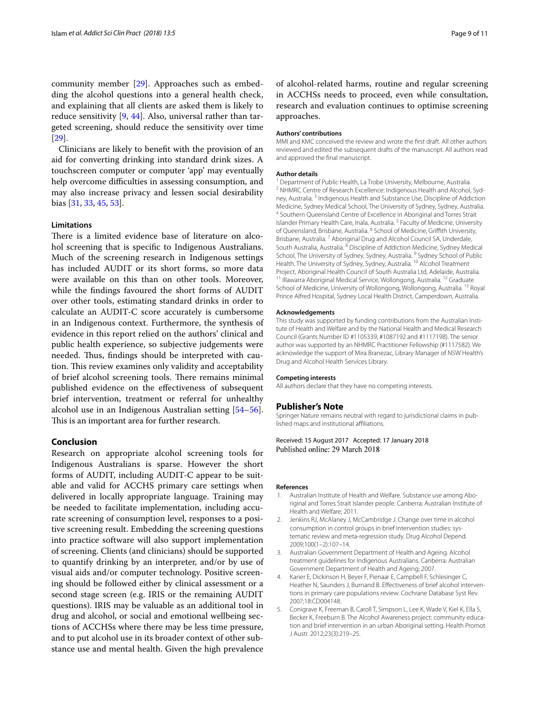community member [\[29\]](#page-11-16). Approaches such as embedding the alcohol questions into a general health check, and explaining that all clients are asked them is likely to reduce sensitivity [[9](#page-11-3), [44](#page-11-36)]. Also, universal rather than targeted screening, should reduce the sensitivity over time [[29\]](#page-11-16).

Clinicians are likely to beneft with the provision of an aid for converting drinking into standard drink sizes. A touchscreen computer or computer 'app' may eventually help overcome difficulties in assessing consumption, and may also increase privacy and lessen social desirability bias [\[31](#page-11-24), [33,](#page-11-25) [45,](#page-11-37) [53](#page-12-6)].

#### **Limitations**

There is a limited evidence base of literature on alcohol screening that is specifc to Indigenous Australians. Much of the screening research in Indigenous settings has included AUDIT or its short forms, so more data were available on this than on other tools. Moreover, while the fndings favoured the short forms of AUDIT over other tools, estimating standard drinks in order to calculate an AUDIT-C score accurately is cumbersome in an Indigenous context. Furthermore, the synthesis of evidence in this report relied on the authors' clinical and public health experience, so subjective judgements were needed. Thus, findings should be interpreted with caution. This review examines only validity and acceptability of brief alcohol screening tools. There remains minimal published evidence on the efectiveness of subsequent brief intervention, treatment or referral for unhealthy alcohol use in an Indigenous Australian setting [[54](#page-12-7)[–56](#page-12-8)]. This is an important area for further research.

### **Conclusion**

Research on appropriate alcohol screening tools for Indigenous Australians is sparse. However the short forms of AUDIT, including AUDIT-C appear to be suitable and valid for ACCHS primary care settings when delivered in locally appropriate language. Training may be needed to facilitate implementation, including accurate screening of consumption level, responses to a positive screening result. Embedding the screening questions into practice software will also support implementation of screening. Clients (and clinicians) should be supported to quantify drinking by an interpreter, and/or by use of visual aids and/or computer technology. Positive screening should be followed either by clinical assessment or a second stage screen (e.g. IRIS or the remaining AUDIT questions). IRIS may be valuable as an additional tool in drug and alcohol, or social and emotional wellbeing sections of ACCHSs where there may be less time pressure, and to put alcohol use in its broader context of other substance use and mental health. Given the high prevalence

of alcohol-related harms, routine and regular screening in ACCHSs needs to proceed, even while consultation, research and evaluation continues to optimise screening approaches.

#### **Authors' contributions**

MMI and KMC conceived the review and wrote the frst draft. All other authors reviewed and edited the subsequent drafts of the manuscript. All authors read and approved the fnal manuscript.

#### **Author details**

<sup>1</sup> Department of Public Health, La Trobe University, Melbourne, Australia.<br><sup>2</sup> NHMRC Centre of Research Excellence: Indigenous Health and Alcohol, Sydney, Australia.<sup>3</sup> Indigenous Health and Substance Use, Discipline of Addiction Medicine, Sydney Medical School, The University of Sydney, Sydney, Australia. 4 Southern Queensland Centre of Excellence in Aboriginal and Torres Strait Islander Primary Health Care, Inala, Australia. 5 Faculty of Medicine, University of Queensland, Brisbane, Australia. <sup>6</sup> School of Medicine, Griffith University, Brisbane, Australia. 7 Aboriginal Drug and Alcohol Council SA, Underdale, South Australia, Australia. <sup>8</sup> Discipline of Addiction Medicine, Sydney Medical School, The University of Sydney, Sydney, Australia.<sup>9</sup> Sydney School of Public Health, The University of Sydney, Sydney, Australia. <sup>10</sup> Alcohol Treatment Project, Aboriginal Health Council of South Australia Ltd, Adelaide, Australia.<br><sup>11</sup> Illawarra Aboriginal Medical Service, Wollongong, Australia. <sup>12</sup> Graduate School of Medicine, University of Wollongong, Wollongong, Australia. 13 Royal Prince Alfred Hospital, Sydney Local Health District, Camperdown, Australia.

#### **Acknowledgements**

This study was supported by funding contributions from the Australian Institute of Health and Welfare and by the National Health and Medical Research Council (Grants Number ID #1105339, #1087192 and #1117198). The senior author was supported by an NHMRC Practitioner Fellowship (#1117582). We acknowledge the support of Mira Branezac, Library Manager of NSW Health's Drug and Alcohol Health Services Library.

#### **Competing interests**

All authors declare that they have no competing interests.

#### **Publisher's Note**

Springer Nature remains neutral with regard to jurisdictional claims in published maps and institutional affiliations.

Received: 15 August 2017 Accepted: 17 January 2018 Published online: 29 March 2018

#### **References**

- <span id="page-10-0"></span>1. Australian Institute of Health and Welfare. Substance use among Aboriginal and Torres Strait Islander people. Canberra: Australian Institute of Health and Welfare; 2011.
- <span id="page-10-1"></span>2. Jenkins RJ, McAlaney J, McCambridge J. Change over time in alcohol consumption in control groups in brief intervention studies: systematic review and meta-regression study. Drug Alcohol Depend. 2009;100(1–2):107–14.
- <span id="page-10-2"></span>3. Australian Government Department of Health and Ageing. Alcohol treatment guidelines for Indigenous Australians. Canberra: Australian Government Department of Health and Ageing; 2007.
- <span id="page-10-3"></span>4. Kaner E, Dickinson H, Beyer F, Pienaar E, Campbell F, Schlesinger C, Heather N, Saunders J, Burnand B. Efectiveness of brief alcohol interventions in primary care populations review. Cochrane Database Syst Rev. 2007;18:CD004148.
- <span id="page-10-4"></span>5. Conigrave K, Freeman B, Caroll T, Simpson L, Lee K, Wade V, Kiel K, Ella S, Becker K, Freeburn B. The Alcohol Awareness project: community education and brief intervention in an urban Aboriginal setting. Health Promot J Austr. 2012;23(3):219–25.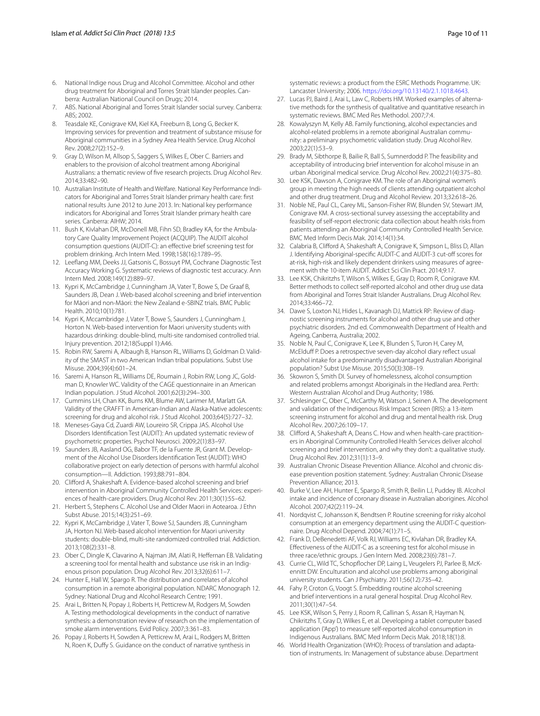- <span id="page-11-0"></span>6. National Indige nous Drug and Alcohol Committee. Alcohol and other drug treatment for Aboriginal and Torres Strait Islander peoples. Canberra: Australian National Council on Drugs; 2014.
- <span id="page-11-1"></span>7. ABS. National Aboriginal and Torres Strait Islander social survey. Canberra: ABS; 2002.
- <span id="page-11-2"></span>8. Teasdale KE, Conigrave KM, Kiel KA, Freeburn B, Long G, Becker K. Improving services for prevention and treatment of substance misuse for Aboriginal communities in a Sydney Area Health Service. Drug Alcohol Rev. 2008;27(2):152–9.
- <span id="page-11-3"></span>9. Gray D, Wilson M, Allsop S, Saggers S, Wilkes E, Ober C. Barriers and enablers to the provision of alcohol treatment among Aboriginal Australians: a thematic review of fve research projects. Drug Alcohol Rev. 2014;33:482–90.
- <span id="page-11-4"></span>10. Australian Institute of Health and Welfare. National Key Performance Indicators for Aboriginal and Torres Strait Islander primary health care: frst national results June 2012 to June 2013. In: National key performance indicators for Aboriginal and Torres Strait Islander primary health care series. Canberra: AIHW; 2014.
- <span id="page-11-5"></span>11. Bush K, Kivlahan DR, McDonell MB, Fihn SD, Bradley KA, for the Ambulatory Care Quality Improvement Project (ACQUIP). The AUDIT alcohol consumption questions (AUDIT-C): an efective brief screening test for problem drinking. Arch Intern Med. 1998;158(16):1789–95.
- <span id="page-11-6"></span>12. Leefang MM, Deeks JJ, Gatsonis C, Bossuyt PM, Cochrane Diagnostic Test Accuracy Working G. Systematic reviews of diagnostic test accuracy. Ann Intern Med. 2008;149(12):889–97.
- <span id="page-11-7"></span>13. Kypri K, McCambridge J, Cunningham JA, Vater T, Bowe S, De Graaf B, Saunders JB, Dean J. Web-based alcohol screening and brief intervention for Māori and non-Māori: the New Zealand e-SBINZ trials. BMC Public Health. 2010;10(1):781.
- 14. Kypri K, Mccambridge J, Vater T, Bowe S, Saunders J, Cunningham J, Horton N. Web-based intervention for Maori university students with hazardous drinking: double-blind, multi-site randomised controlled trial. Injury prevention. 2012;18(Suppl 1):A46.
- <span id="page-11-9"></span>15. Robin RW, Saremi A, Albaugh B, Hanson RL, Williams D, Goldman D. Validity of the SMAST in two American Indian tribal populations. Subst Use Misuse. 2004;39(4):601–24.
- 16. Saremi A, Hanson RL, Williams DE, Roumain J, Robin RW, Long JC, Goldman D, Knowler WC. Validity of the CAGE questionnaire in an American Indian population. J Stud Alcohol. 2001;62(3):294–300.
- <span id="page-11-10"></span>17. Cummins LH, Chan KK, Burns KM, Blume AW, Larimer M, Marlatt GA. Validity of the CRAFFT in American-Indian and Alaska-Native adolescents: screening for drug and alcohol risk. J Stud Alcohol. 2003;64(5):727–32.
- <span id="page-11-30"></span>18. Meneses-Gaya Cd, Zuardi AW, Loureiro SR, Crippa JAS. Alcohol Use Disorders Identifcation Test (AUDIT): An updated systematic review of psychometric properties. Psychol Neurosci. 2009;2(1):83–97.
- <span id="page-11-31"></span>19. Saunders JB, Aasland OG, Babor TF, de la Fuente JR, Grant M. Development of the Alcohol Use Disorders Identifcation Test (AUDIT): WHO collaborative project on early detection of persons with harmful alcohol consumption—II. Addiction. 1993;88:791–804.
- <span id="page-11-18"></span>20. Cliford A, Shakeshaft A. Evidence-based alcohol screening and brief intervention in Aboriginal Community Controlled Health Services: experiences of health-care providers. Drug Alcohol Rev. 2011;30(1):55–62.
- <span id="page-11-33"></span>21. Herbert S, Stephens C. Alcohol Use and Older Maori in Aotearoa. J Ethn Subst Abuse. 2015;14(3):251–69.
- <span id="page-11-34"></span>22. Kypri K, McCambridge J, Vater T, Bowe SJ, Saunders JB, Cunningham JA, Horton NJ. Web-based alcohol intervention for Maori university students: double-blind, multi-site randomized controlled trial. Addiction. 2013;108(2):331–8.
- <span id="page-11-21"></span>23. Ober C, Dingle K, Clavarino A, Najman JM, Alati R, Hefernan EB. Validating a screening tool for mental health and substance use risk in an Indigenous prison population. Drug Alcohol Rev. 2013;32(6):611–7.
- <span id="page-11-8"></span>24. Hunter E, Hall W, Spargo R. The distribution and correlates of alcohol consumption in a remote aboriginal population. NDARC Monograph 12. Sydney: National Drug and Alcohol Research Centre; 1991.
- <span id="page-11-11"></span>25. Arai L, Britten N, Popay J, Roberts H, Petticrew M, Rodgers M, Sowden A. Testing methodological developments in the conduct of narrative synthesis: a demonstration review of research on the implementation of smoke alarm interventions. Evid Policy. 2007;3:361–83.
- <span id="page-11-12"></span>26. Popay J, Roberts H, Sowden A, Petticrew M, Arai L, Rodgers M, Britten N, Roen K, Dufy S. Guidance on the conduct of narrative synthesis in

systematic reviews: a product from the ESRC Methods Programme. UK: Lancaster University; 2006.<https://doi.org/10.13140/2.1.1018.4643>.

- <span id="page-11-13"></span>27. Lucas PJ, Baird J, Arai L, Law C, Roberts HM. Worked examples of alternative methods for the synthesis of qualitative and quantitative research in systematic reviews. BMC Med Res Methodol. 2007;7:4.
- <span id="page-11-14"></span>28. Kowalyszyn M, Kelly AB. Family functioning, alcohol expectancies and alcohol-related problems in a remote aboriginal Australian community: a preliminary psychometric validation study. Drug Alcohol Rev. 2003;22(1):53–9.
- <span id="page-11-16"></span>29. Brady M, Sibthorpe B, Bailie R, Ball S, Sumnerdodd P. The feasibility and acceptability of introducing brief intervention for alcohol misuse in an urban Aboriginal medical service. Drug Alcohol Rev. 2002;21(4):375–80.
- <span id="page-11-20"></span>30. Lee KSK, Dawson A, Conigrave KM. The role of an Aboriginal women's group in meeting the high needs of clients attending outpatient alcohol and other drug treatment. Drug and Alcohol Review. 2013;32:618–26.
- <span id="page-11-24"></span>31. Noble NE, Paul CL, Carey ML, Sanson-Fisher RW, Blunden SV, Stewart JM, Conigrave KM. A cross-sectional survey assessing the acceptability and feasibility of self-report electronic data collection about health risks from patients attending an Aboriginal Community Controlled Health Service. BMC Med Inform Decis Mak. 2014;14(1):34.
- <span id="page-11-22"></span>32. Calabria B, Cliford A, Shakeshaft A, Conigrave K, Simpson L, Bliss D, Allan J. Identifying Aboriginal-specific AUDIT-C and AUDIT-3 cut-off scores for at-risk, high-risk and likely dependent drinkers using measures of agreement with the 10-item AUDIT. Addict Sci Clin Pract. 2014;9:17.
- <span id="page-11-25"></span>33. Lee KSK, Chikritzhs T, Wilson S, Wilkes E, Gray D, Room R, Conigrave KM. Better methods to collect self-reported alcohol and other drug use data from Aboriginal and Torres Strait Islander Australians. Drug Alcohol Rev. 2014;33:466–72.
- <span id="page-11-26"></span>34. Dawe S, Loxton NJ, Hides L, Kavanagh DJ, Mattick RP: Review of diagnostic screening instruments for alcohol and other drug use and other psychiatric disorders. 2nd ed. Commonwealth Department of Health and Ageing, Canberra, Australia; 2002.
- <span id="page-11-23"></span>35. Noble N, Paul C, Conigrave K, Lee K, Blunden S, Turon H, Carey M, McElduff P. Does a retrospective seven-day alcohol diary reflect usual alcohol intake for a predominantly disadvantaged Australian Aboriginal population? Subst Use Misuse. 2015;50(3):308–19.
- <span id="page-11-15"></span>36. Skowron S, Smith DI. Survey of homelessness, alcohol consumption and related problems amongst Aboriginals in the Hedland area. Perth: Western Australian Alcohol and Drug Authority; 1986.
- <span id="page-11-17"></span>37. Schlesinger C, Ober C, McCarthy M, Watson J, Seinen A. The development and validation of the Indigenous Risk Impact Screen (IRIS): a 13-item screening instrument for alcohol and drug and mental health risk. Drug Alcohol Rev. 2007;26:109–17.
- <span id="page-11-19"></span>38. Cliford A, Shakeshaft A, Deans C. How and when health-care practitioners in Aboriginal Community Controlled Health Services deliver alcohol screening and brief intervention, and why they don't: a qualitative study. Drug Alcohol Rev. 2012;31(1):13–9.
- <span id="page-11-27"></span>39. Australian Chronic Disease Prevention Alliance. Alcohol and chronic disease prevention position statement. Sydney: Australian Chronic Disease Prevention Alliance; 2013.
- <span id="page-11-28"></span>40. Burke V, Lee AH, Hunter E, Spargo R, Smith R, Beilin LJ, Puddey IB. Alcohol intake and incidence of coronary disease in Australian aborigines. Alcohol Alcohol. 2007;42(2):119–24.
- <span id="page-11-29"></span>41. Nordqvist C, Johansson K, Bendtsen P. Routine screening for risky alcohol consumption at an emergency department using the AUDIT-C questionnaire. Drug Alcohol Depend. 2004;74(1):71–5.
- <span id="page-11-32"></span>42. Frank D, DeBenedetti AF, Volk RJ, Williams EC, Kivlahan DR, Bradley KA. Efectiveness of the AUDIT-C as a screening test for alcohol misuse in three race/ethnic groups. J Gen Intern Med. 2008;23(6):781–7.
- <span id="page-11-35"></span>43. Currie CL, Wild TC, Schopfocher DP, Laing L, Veugelers PJ, Parlee B, McKennitt DW. Enculturation and alcohol use problems among aboriginal university students. Can J Psychiatry. 2011;56(12):735–42.
- <span id="page-11-36"></span>44. Fahy P, Croton G, Voogt S. Embedding routine alcohol screening and brief interventions in a rural general hospital. Drug Alcohol Rev. 2011;30(1):47–54.
- <span id="page-11-37"></span>45. Lee KSK, Wilson S, Perry J, Room R, Callinan S, Assan R, Hayman N, Chikritzhs T, Gray D, Wilkes E, et al. Developing a tablet computer based application ('App') to measure self-reported alcohol consumption in Indigenous Australians. BMC Med Inform Decis Mak. 2018;18(1):8.
- <span id="page-11-38"></span>46. World Health Organization (WHO): Process of translation and adaptation of instruments. In: Management of substance abuse. Department